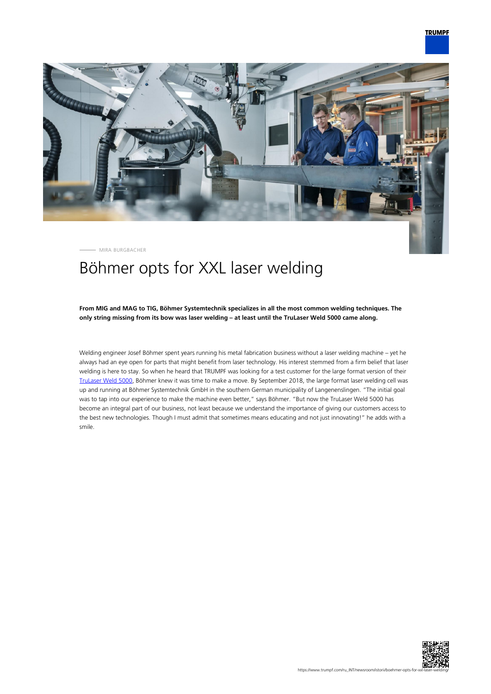

MIRA BURGBACHER

# Böhmer opts for XXL laser welding

**From MIG and MAG to TIG, Böhmer Systemtechnik specializes in all the most common welding techniques. The only string missing from its bow was laser welding – at least until the TruLaser Weld 5000 came along.**

Welding engineer Josef Böhmer spent years running his metal fabrication business without a laser welding machine – yet he always had an eye open for parts that might benefit from laser technology. His interest stemmed from a firm belief that laser welding is here to stay. So when he heard that TRUMPF was looking for a test customer for the large format version of their [TruLaser Weld 5000,](https://www.trumpf.com/en_INT/products/machines-systems/laser-welding-systems-and-the-arc-welding-cell/trulaser-weld-5000/) Böhmer knew it was time to make a move. By September 2018, the large format laser welding cell was up and running at Böhmer Systemtechnik GmbH in the southern German municipality of Langenenslingen. "The initial goal was to tap into our experience to make the machine even better," says Böhmer. "But now the TruLaser Weld 5000 has become an integral part of our business, not least because we understand the importance of giving our customers access to the best new technologies. Though I must admit that sometimes means educating and not just innovating!" he adds with a smile.

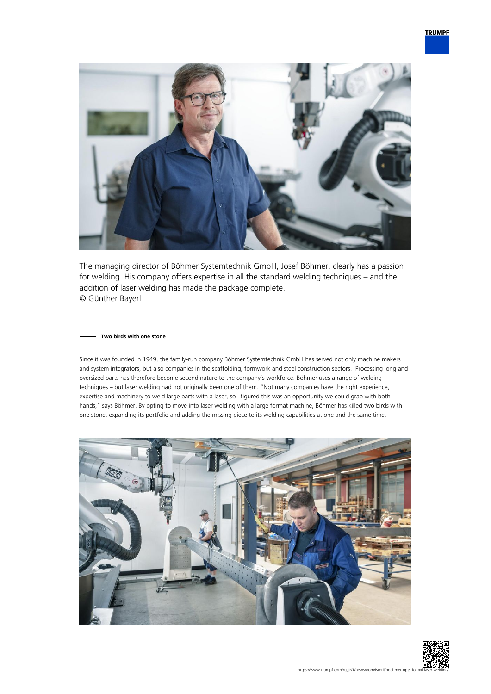

The managing director of Böhmer Systemtechnik GmbH, Josef Böhmer, clearly has a passion for welding. His company offers expertise in all the standard welding techniques – and the addition of laser welding has made the package complete. © Günther Bayerl

### **Two birds with one stone**

Since it was founded in 1949, the family-run company Böhmer Systemtechnik GmbH has served not only machine makers and system integrators, but also companies in the scaffolding, formwork and steel construction sectors. Processing long and oversized parts has therefore become second nature to the company's workforce. Böhmer uses a range of welding techniques – but laser welding had not originally been one of them. "Not many companies have the right experience, expertise and machinery to weld large parts with a laser, so I figured this was an opportunity we could grab with both hands," says Böhmer. By opting to move into laser welding with a large format machine, Böhmer has killed two birds with one stone, expanding its portfolio and adding the missing piece to its welding capabilities at one and the same time.



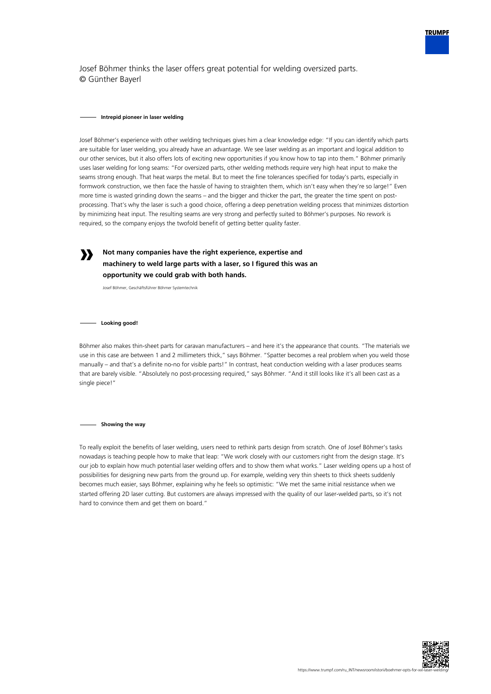

Josef Böhmer thinks the laser offers great potential for welding oversized parts. © Günther Bayerl

#### **Intrepid pioneer in laser welding**

Josef Böhmer's experience with other welding techniques gives him a clear knowledge edge: "If you can identify which parts are suitable for laser welding, you already have an advantage. We see laser welding as an important and logical addition to our other services, but it also offers lots of exciting new opportunities if you know how to tap into them." Böhmer primarily uses laser welding for long seams: "For oversized parts, other welding methods require very high heat input to make the seams strong enough. That heat warps the metal. But to meet the fine tolerances specified for today's parts, especially in formwork construction, we then face the hassle of having to straighten them, which isn't easy when they're so large!" Even more time is wasted grinding down the seams – and the bigger and thicker the part, the greater the time spent on postprocessing. That's why the laser is such a good choice, offering a deep penetration welding process that minimizes distortion by minimizing heat input. The resulting seams are very strong and perfectly suited to Böhmer's purposes. No rework is required, so the company enjoys the twofold benefit of getting better quality faster.

**Not many companies have the right experience, expertise and machinery to weld large parts with a laser, so I figured this was an opportunity we could grab with both hands.**

Josef Böhmer, Geschäftsführer Böhmer Systemtechnik

**Looking good!**

**»**

Böhmer also makes thin-sheet parts for caravan manufacturers – and here it's the appearance that counts. "The materials we use in this case are between 1 and 2 millimeters thick," says Böhmer. "Spatter becomes a real problem when you weld those manually – and that's a definite no-no for visible parts!" In contrast, heat conduction welding with a laser produces seams that are barely visible. "Absolutely no post-processing required," says Böhmer. "And it still looks like it's all been cast as a single piece!"

**Showing the way**

To really exploit the benefits of laser welding, users need to rethink parts design from scratch. One of Josef Böhmer's tasks nowadays is teaching people how to make that leap: "We work closely with our customers right from the design stage. It's our job to explain how much potential laser welding offers and to show them what works." Laser welding opens up a host of possibilities for designing new parts from the ground up. For example, welding very thin sheets to thick sheets suddenly becomes much easier, says Böhmer, explaining why he feels so optimistic: "We met the same initial resistance when we started offering 2D laser cutting. But customers are always impressed with the quality of our laser-welded parts, so it's not hard to convince them and get them on board."

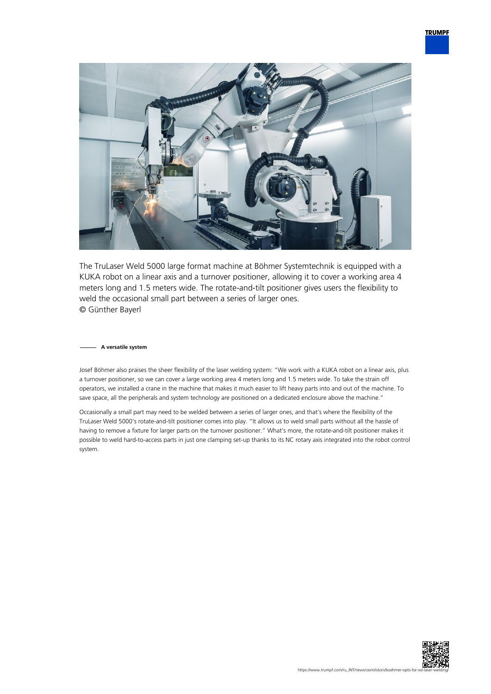

The TruLaser Weld 5000 large format machine at Böhmer Systemtechnik is equipped with a KUKA robot on a linear axis and a turnover positioner, allowing it to cover a working area 4 meters long and 1.5 meters wide. The rotate-and-tilt positioner gives users the flexibility to weld the occasional small part between a series of larger ones. © Günther Bayerl

## **A versatile system**

Josef Böhmer also praises the sheer flexibility of the laser welding system: "We work with a KUKA robot on a linear axis, plus a turnover positioner, so we can cover a large working area 4 meters long and 1.5 meters wide. To take the strain off operators, we installed a crane in the machine that makes it much easier to lift heavy parts into and out of the machine. To save space, all the peripherals and system technology are positioned on a dedicated enclosure above the machine."

Occasionally a small part may need to be welded between a series of larger ones, and that's where the flexibility of the TruLaser Weld 5000's rotate-and-tilt positioner comes into play. "It allows us to weld small parts without all the hassle of having to remove a fixture for larger parts on the turnover positioner." What's more, the rotate-and-tilt positioner makes it possible to weld hard-to-access parts in just one clamping set-up thanks to its NC rotary axis integrated into the robot control system.

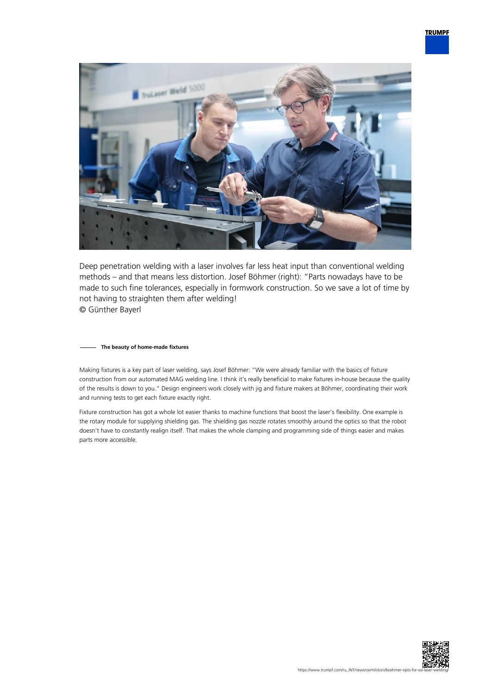

Deep penetration welding with a laser involves far less heat input than conventional welding methods – and that means less distortion. Josef Böhmer (right): "Parts nowadays have to be made to such fine tolerances, especially in formwork construction. So we save a lot of time by not having to straighten them after welding! © Günther Bayerl

## **The beauty of home-made fixtures**

Making fixtures is a key part of laser welding, says Josef Böhmer: "We were already familiar with the basics of fixture construction from our automated MAG welding line. I think it's really beneficial to make fixtures in-house because the quality of the results is down to you." Design engineers work closely with jig and fixture makers at Böhmer, coordinating their work and running tests to get each fixture exactly right.

Fixture construction has got a whole lot easier thanks to machine functions that boost the laser's flexibility. One example is the rotary module for supplying shielding gas. The shielding gas nozzle rotates smoothly around the optics so that the robot doesn't have to constantly realign itself. That makes the whole clamping and programming side of things easier and makes parts more accessible.